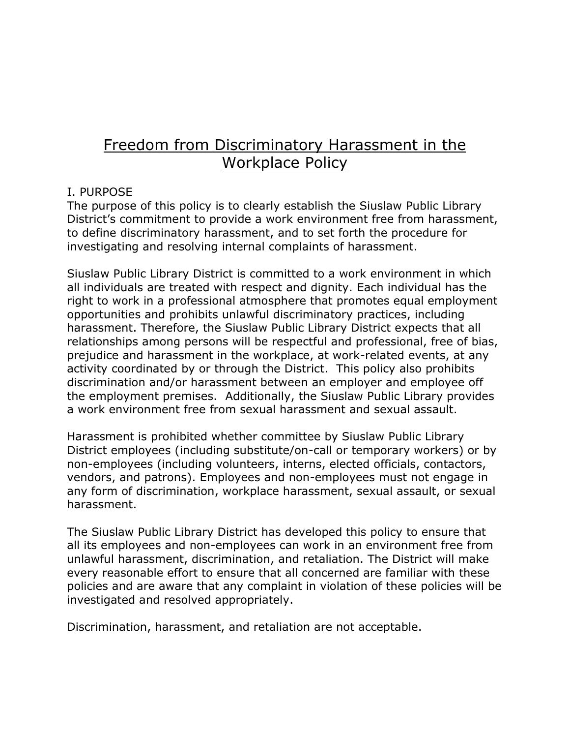# Freedom from Discriminatory Harassment in the Workplace Policy

## I. PURPOSE

The purpose of this policy is to clearly establish the Siuslaw Public Library District's commitment to provide a work environment free from harassment, to define discriminatory harassment, and to set forth the procedure for investigating and resolving internal complaints of harassment.

Siuslaw Public Library District is committed to a work environment in which all individuals are treated with respect and dignity. Each individual has the right to work in a professional atmosphere that promotes equal employment opportunities and prohibits unlawful discriminatory practices, including harassment. Therefore, the Siuslaw Public Library District expects that all relationships among persons will be respectful and professional, free of bias, prejudice and harassment in the workplace, at work-related events, at any activity coordinated by or through the District. This policy also prohibits discrimination and/or harassment between an employer and employee off the employment premises. Additionally, the Siuslaw Public Library provides a work environment free from sexual harassment and sexual assault.

Harassment is prohibited whether committee by Siuslaw Public Library District employees (including substitute/on-call or temporary workers) or by non-employees (including volunteers, interns, elected officials, contactors, vendors, and patrons). Employees and non-employees must not engage in any form of discrimination, workplace harassment, sexual assault, or sexual harassment.

The Siuslaw Public Library District has developed this policy to ensure that all its employees and non-employees can work in an environment free from unlawful harassment, discrimination, and retaliation. The District will make every reasonable effort to ensure that all concerned are familiar with these policies and are aware that any complaint in violation of these policies will be investigated and resolved appropriately.

Discrimination, harassment, and retaliation are not acceptable.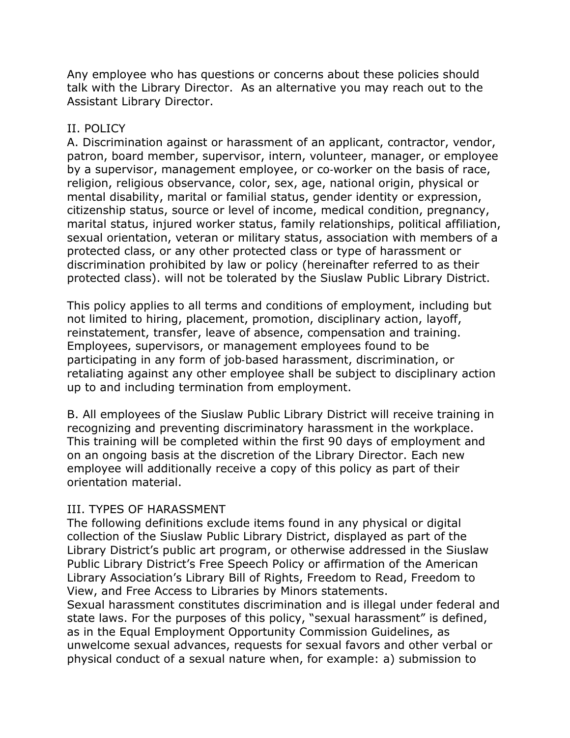Any employee who has questions or concerns about these policies should talk with the Library Director. As an alternative you may reach out to the Assistant Library Director.

#### II. POLICY

A. Discrimination against or harassment of an applicant, contractor, vendor, patron, board member, supervisor, intern, volunteer, manager, or employee by a supervisor, management employee, or co-worker on the basis of race, religion, religious observance, color, sex, age, national origin, physical or mental disability, marital or familial status, gender identity or expression, citizenship status, source or level of income, medical condition, pregnancy, marital status, injured worker status, family relationships, political affiliation, sexual orientation, veteran or military status, association with members of a protected class, or any other protected class or type of harassment or discrimination prohibited by law or policy (hereinafter referred to as their protected class). will not be tolerated by the Siuslaw Public Library District.

This policy applies to all terms and conditions of employment, including but not limited to hiring, placement, promotion, disciplinary action, layoff, reinstatement, transfer, leave of absence, compensation and training. Employees, supervisors, or management employees found to be participating in any form of job‐based harassment, discrimination, or retaliating against any other employee shall be subject to disciplinary action up to and including termination from employment.

B. All employees of the Siuslaw Public Library District will receive training in recognizing and preventing discriminatory harassment in the workplace. This training will be completed within the first 90 days of employment and on an ongoing basis at the discretion of the Library Director. Each new employee will additionally receive a copy of this policy as part of their orientation material.

### III. TYPES OF HARASSMENT

The following definitions exclude items found in any physical or digital collection of the Siuslaw Public Library District, displayed as part of the Library District's public art program, or otherwise addressed in the Siuslaw Public Library District's Free Speech Policy or affirmation of the American Library Association's Library Bill of Rights, Freedom to Read, Freedom to View, and Free Access to Libraries by Minors statements.

Sexual harassment constitutes discrimination and is illegal under federal and state laws. For the purposes of this policy, "sexual harassment" is defined, as in the Equal Employment Opportunity Commission Guidelines, as unwelcome sexual advances, requests for sexual favors and other verbal or physical conduct of a sexual nature when, for example: a) submission to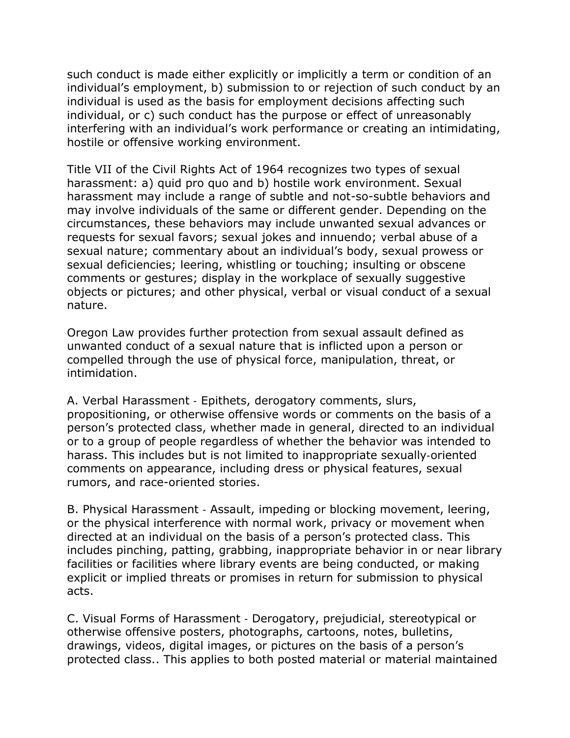such conduct is made either explicitly or implicitly a term or condition of an individual's employment, b) submission to or rejection of such conduct by an individual is used as the basis for employment decisions affecting such individual, or c) such conduct has the purpose or effect of unreasonably interfering with an individual's work performance or creating an intimidating, hostile or offensive working environment.

Title VII of the Civil Rights Act of 1964 recognizes two types of sexual harassment: a) quid pro quo and b) hostile work environment. Sexual harassment may include a range of subtle and not-so-subtle behaviors and may involve individuals of the same or different gender. Depending on the circumstances, these behaviors may include unwanted sexual advances or requests for sexual favors; sexual jokes and innuendo; verbal abuse of a sexual nature; commentary about an individual's body, sexual prowess or sexual deficiencies; leering, whistling or touching; insulting or obscene comments or gestures; display in the workplace of sexually suggestive objects or pictures; and other physical, verbal or visual conduct of a sexual nature.

Oregon Law provides further protection from sexual assault defined as unwanted conduct of a sexual nature that is inflicted upon a person or compelled through the use of physical force, manipulation, threat, or intimidation.

A. Verbal Harassment ‐ Epithets, derogatory comments, slurs, propositioning, or otherwise offensive words or comments on the basis of a person's protected class, whether made in general, directed to an individual or to a group of people regardless of whether the behavior was intended to harass. This includes but is not limited to inappropriate sexually‐oriented comments on appearance, including dress or physical features, sexual rumors, and race-oriented stories.

B. Physical Harassment ‐ Assault, impeding or blocking movement, leering, or the physical interference with normal work, privacy or movement when directed at an individual on the basis of a person's protected class. This includes pinching, patting, grabbing, inappropriate behavior in or near library facilities or facilities where library events are being conducted, or making explicit or implied threats or promises in return for submission to physical acts.

C. Visual Forms of Harassment ‐ Derogatory, prejudicial, stereotypical or otherwise offensive posters, photographs, cartoons, notes, bulletins, drawings, videos, digital images, or pictures on the basis of a person's protected class.. This applies to both posted material or material maintained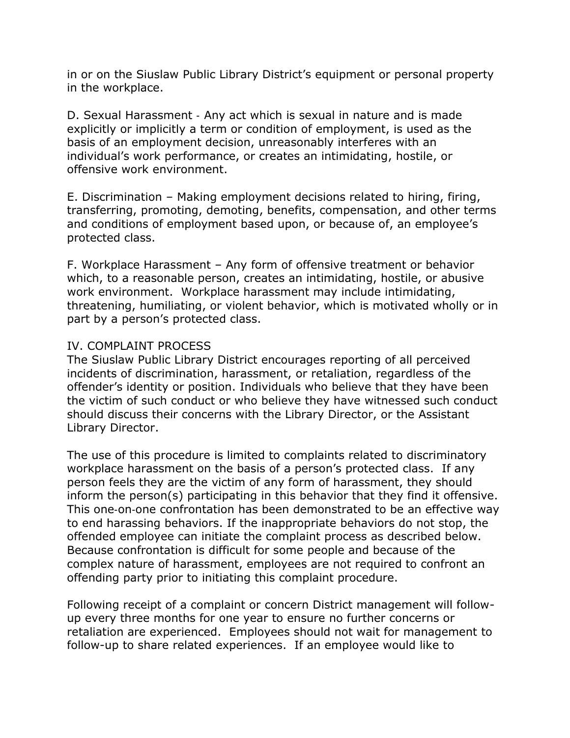in or on the Siuslaw Public Library District's equipment or personal property in the workplace.

D. Sexual Harassment ‐ Any act which is sexual in nature and is made explicitly or implicitly a term or condition of employment, is used as the basis of an employment decision, unreasonably interferes with an individual's work performance, or creates an intimidating, hostile, or offensive work environment.

E. Discrimination – Making employment decisions related to hiring, firing, transferring, promoting, demoting, benefits, compensation, and other terms and conditions of employment based upon, or because of, an employee's protected class.

F. Workplace Harassment – Any form of offensive treatment or behavior which, to a reasonable person, creates an intimidating, hostile, or abusive work environment. Workplace harassment may include intimidating, threatening, humiliating, or violent behavior, which is motivated wholly or in part by a person's protected class.

#### IV. COMPLAINT PROCESS

The Siuslaw Public Library District encourages reporting of all perceived incidents of discrimination, harassment, or retaliation, regardless of the offender's identity or position. Individuals who believe that they have been the victim of such conduct or who believe they have witnessed such conduct should discuss their concerns with the Library Director, or the Assistant Library Director.

The use of this procedure is limited to complaints related to discriminatory workplace harassment on the basis of a person's protected class. If any person feels they are the victim of any form of harassment, they should inform the person(s) participating in this behavior that they find it offensive. This one‐on‐one confrontation has been demonstrated to be an effective way to end harassing behaviors. If the inappropriate behaviors do not stop, the offended employee can initiate the complaint process as described below. Because confrontation is difficult for some people and because of the complex nature of harassment, employees are not required to confront an offending party prior to initiating this complaint procedure.

Following receipt of a complaint or concern District management will followup every three months for one year to ensure no further concerns or retaliation are experienced. Employees should not wait for management to follow-up to share related experiences. If an employee would like to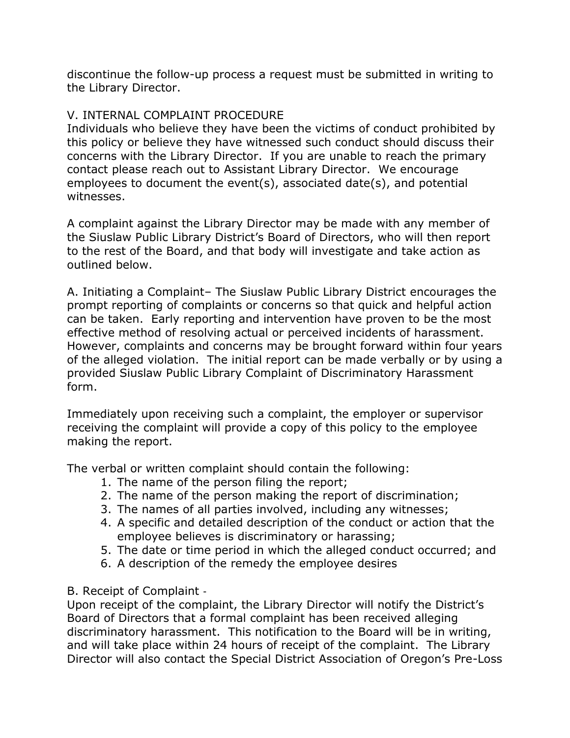discontinue the follow-up process a request must be submitted in writing to the Library Director.

# V. INTERNAL COMPLAINT PROCEDURE

Individuals who believe they have been the victims of conduct prohibited by this policy or believe they have witnessed such conduct should discuss their concerns with the Library Director. If you are unable to reach the primary contact please reach out to Assistant Library Director. We encourage employees to document the event(s), associated date(s), and potential witnesses.

A complaint against the Library Director may be made with any member of the Siuslaw Public Library District's Board of Directors, who will then report to the rest of the Board, and that body will investigate and take action as outlined below.

A. Initiating a Complaint– The Siuslaw Public Library District encourages the prompt reporting of complaints or concerns so that quick and helpful action can be taken. Early reporting and intervention have proven to be the most effective method of resolving actual or perceived incidents of harassment. However, complaints and concerns may be brought forward within four years of the alleged violation. The initial report can be made verbally or by using a provided Siuslaw Public Library Complaint of Discriminatory Harassment form.

Immediately upon receiving such a complaint, the employer or supervisor receiving the complaint will provide a copy of this policy to the employee making the report.

The verbal or written complaint should contain the following:

- 1. The name of the person filing the report;
- 2. The name of the person making the report of discrimination;
- 3. The names of all parties involved, including any witnesses;
- 4. A specific and detailed description of the conduct or action that the employee believes is discriminatory or harassing;
- 5. The date or time period in which the alleged conduct occurred; and
- 6. A description of the remedy the employee desires

# B. Receipt of Complaint ‐

Upon receipt of the complaint, the Library Director will notify the District's Board of Directors that a formal complaint has been received alleging discriminatory harassment. This notification to the Board will be in writing, and will take place within 24 hours of receipt of the complaint. The Library Director will also contact the Special District Association of Oregon's Pre-Loss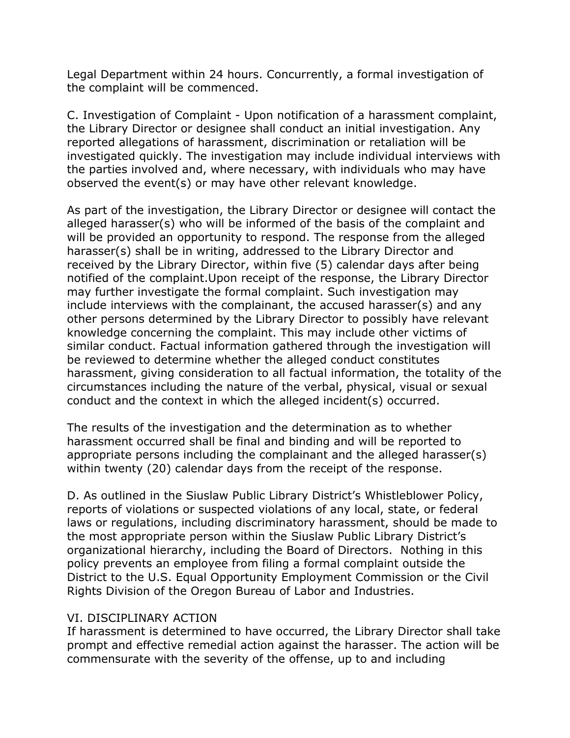Legal Department within 24 hours. Concurrently, a formal investigation of the complaint will be commenced.

C. Investigation of Complaint - Upon notification of a harassment complaint, the Library Director or designee shall conduct an initial investigation. Any reported allegations of harassment, discrimination or retaliation will be investigated quickly. The investigation may include individual interviews with the parties involved and, where necessary, with individuals who may have observed the event(s) or may have other relevant knowledge.

As part of the investigation, the Library Director or designee will contact the alleged harasser(s) who will be informed of the basis of the complaint and will be provided an opportunity to respond. The response from the alleged harasser(s) shall be in writing, addressed to the Library Director and received by the Library Director, within five (5) calendar days after being notified of the complaint.Upon receipt of the response, the Library Director may further investigate the formal complaint. Such investigation may include interviews with the complainant, the accused harasser(s) and any other persons determined by the Library Director to possibly have relevant knowledge concerning the complaint. This may include other victims of similar conduct. Factual information gathered through the investigation will be reviewed to determine whether the alleged conduct constitutes harassment, giving consideration to all factual information, the totality of the circumstances including the nature of the verbal, physical, visual or sexual conduct and the context in which the alleged incident(s) occurred.

The results of the investigation and the determination as to whether harassment occurred shall be final and binding and will be reported to appropriate persons including the complainant and the alleged harasser(s) within twenty (20) calendar days from the receipt of the response.

D. As outlined in the Siuslaw Public Library District's Whistleblower Policy, reports of violations or suspected violations of any local, state, or federal laws or regulations, including discriminatory harassment, should be made to the most appropriate person within the Siuslaw Public Library District's organizational hierarchy, including the Board of Directors. Nothing in this policy prevents an employee from filing a formal complaint outside the District to the U.S. Equal Opportunity Employment Commission or the Civil Rights Division of the Oregon Bureau of Labor and Industries.

#### VI. DISCIPLINARY ACTION

If harassment is determined to have occurred, the Library Director shall take prompt and effective remedial action against the harasser. The action will be commensurate with the severity of the offense, up to and including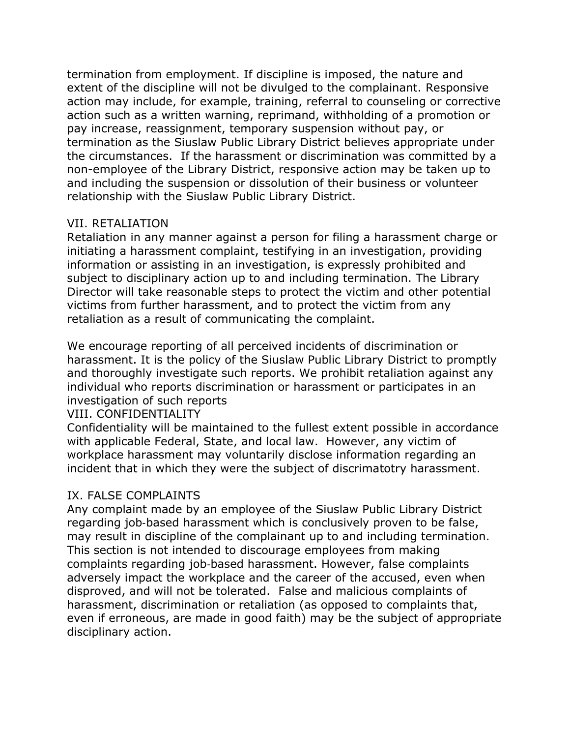termination from employment. If discipline is imposed, the nature and extent of the discipline will not be divulged to the complainant. Responsive action may include, for example, training, referral to counseling or corrective action such as a written warning, reprimand, withholding of a promotion or pay increase, reassignment, temporary suspension without pay, or termination as the Siuslaw Public Library District believes appropriate under the circumstances. If the harassment or discrimination was committed by a non-employee of the Library District, responsive action may be taken up to and including the suspension or dissolution of their business or volunteer relationship with the Siuslaw Public Library District.

## VII. RETALIATION

Retaliation in any manner against a person for filing a harassment charge or initiating a harassment complaint, testifying in an investigation, providing information or assisting in an investigation, is expressly prohibited and subject to disciplinary action up to and including termination. The Library Director will take reasonable steps to protect the victim and other potential victims from further harassment, and to protect the victim from any retaliation as a result of communicating the complaint.

We encourage reporting of all perceived incidents of discrimination or harassment. It is the policy of the Siuslaw Public Library District to promptly and thoroughly investigate such reports. We prohibit retaliation against any individual who reports discrimination or harassment or participates in an investigation of such reports

# VIII. CONFIDENTIALITY

Confidentiality will be maintained to the fullest extent possible in accordance with applicable Federal, State, and local law. However, any victim of workplace harassment may voluntarily disclose information regarding an incident that in which they were the subject of discrimatotry harassment.

# IX. FALSE COMPLAINTS

Any complaint made by an employee of the Siuslaw Public Library District regarding job-based harassment which is conclusively proven to be false, may result in discipline of the complainant up to and including termination. This section is not intended to discourage employees from making complaints regarding job‐based harassment. However, false complaints adversely impact the workplace and the career of the accused, even when disproved, and will not be tolerated. False and malicious complaints of harassment, discrimination or retaliation (as opposed to complaints that, even if erroneous, are made in good faith) may be the subject of appropriate disciplinary action.